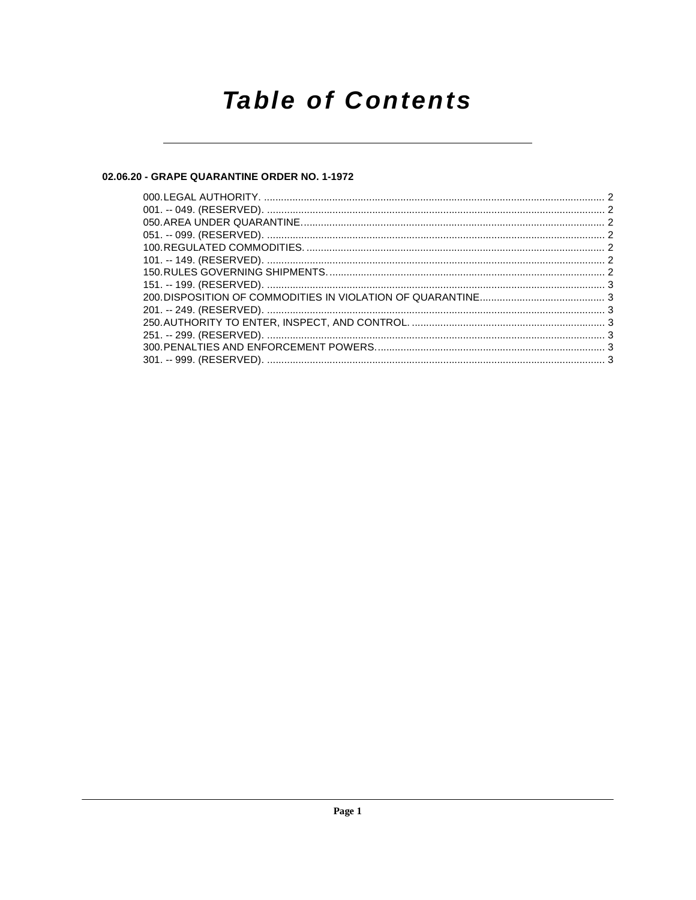## **Table of Contents**

### 02.06.20 - GRAPE QUARANTINE ORDER NO. 1-1972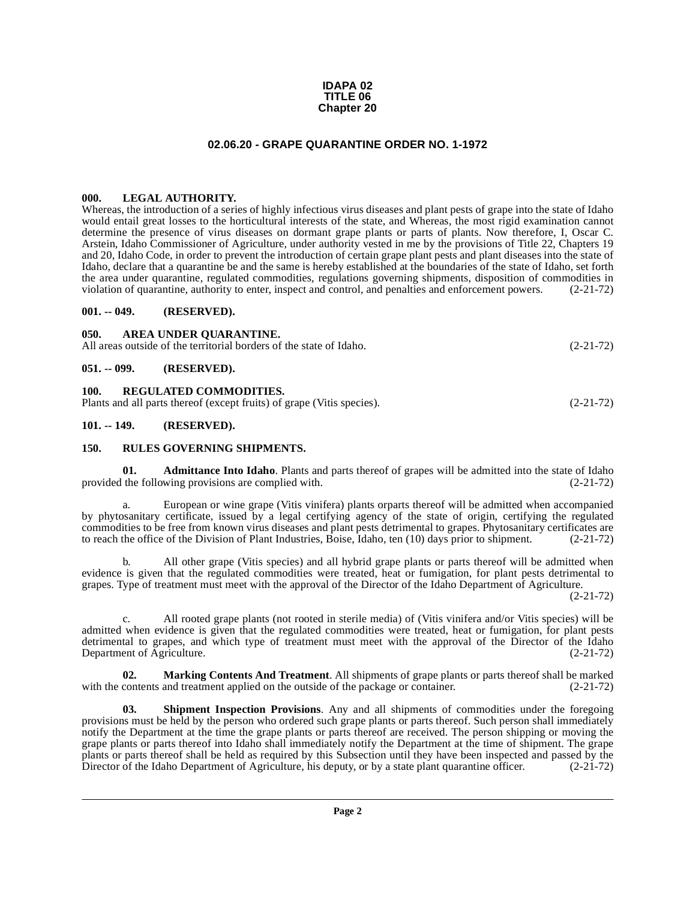#### **IDAPA 02 TITLE 06 Chapter 20**

#### **02.06.20 - GRAPE QUARANTINE ORDER NO. 1-1972**

#### <span id="page-1-1"></span><span id="page-1-0"></span>**000. LEGAL AUTHORITY.**

Whereas, the introduction of a series of highly infectious virus diseases and plant pests of grape into the state of Idaho would entail great losses to the horticultural interests of the state, and Whereas, the most rigid examination cannot determine the presence of virus diseases on dormant grape plants or parts of plants. Now therefore, I, Oscar C. Arstein, Idaho Commissioner of Agriculture, under authority vested in me by the provisions of Title 22, Chapters 19 and 20, Idaho Code, in order to prevent the introduction of certain grape plant pests and plant diseases into the state of Idaho, declare that a quarantine be and the same is hereby established at the boundaries of the state of Idaho, set forth the area under quarantine, regulated commodities, regulations governing shipments, disposition of commodities in violation of quarantine, authority to enter, inspect and control, and penalties and enforcement powers. (2-21-72)

#### <span id="page-1-9"></span><span id="page-1-2"></span>**001. -- 049. (RESERVED).**

<span id="page-1-11"></span><span id="page-1-5"></span><span id="page-1-4"></span><span id="page-1-3"></span>

| 050.          | AREA UNDER OUARANTINE.<br>All areas outside of the territorial borders of the state of Idaho.           | $(2-21-72)$ |
|---------------|---------------------------------------------------------------------------------------------------------|-------------|
| $051. - 099.$ | (RESERVED).                                                                                             |             |
| 100.          | <b>REGULATED COMMODITIES.</b><br>Plants and all parts thereof (except fruits) of grape (Vitis species). | $(2-21-72)$ |
| $101. - 149.$ | (RESERVED).                                                                                             |             |

#### <span id="page-1-12"></span><span id="page-1-7"></span><span id="page-1-6"></span>**150. RULES GOVERNING SHIPMENTS.**

<span id="page-1-8"></span>**01. Admittance Into Idaho**. Plants and parts thereof of grapes will be admitted into the state of Idaho provided the following provisions are complied with. (2-21-72)

a. European or wine grape (Vitis vinifera) plants orparts thereof will be admitted when accompanied by phytosanitary certificate, issued by a legal certifying agency of the state of origin, certifying the regulated commodities to be free from known virus diseases and plant pests detrimental to grapes. Phytosanitary certificates are to reach the office of the Division of Plant Industries, Boise, Idaho, ten (10) days prior to shipment. (2-21-72)

b. All other grape (Vitis species) and all hybrid grape plants or parts thereof will be admitted when evidence is given that the regulated commodities were treated, heat or fumigation, for plant pests detrimental to grapes. Type of treatment must meet with the approval of the Director of the Idaho Department of Agriculture.

(2-21-72)

c. All rooted grape plants (not rooted in sterile media) of (Vitis vinifera and/or Vitis species) will be admitted when evidence is given that the regulated commodities were treated, heat or fumigation, for plant pests detrimental to grapes, and which type of treatment must meet with the approval of the Director of the Idaho Department of Agriculture. The contract of Agriculture. (2-21-72)

<span id="page-1-10"></span>**02. Marking Contents And Treatment**. All shipments of grape plants or parts thereof shall be marked with the contents and treatment applied on the outside of the package or container. (2-21-72)

<span id="page-1-13"></span>**03. Shipment Inspection Provisions**. Any and all shipments of commodities under the foregoing provisions must be held by the person who ordered such grape plants or parts thereof. Such person shall immediately notify the Department at the time the grape plants or parts thereof are received. The person shipping or moving the grape plants or parts thereof into Idaho shall immediately notify the Department at the time of shipment. The grape plants or parts thereof shall be held as required by this Subsection until they have been inspected and passed by the Director of the Idaho Department of Agriculture, his deputy, or by a state plant quarantine officer. (2-21-72)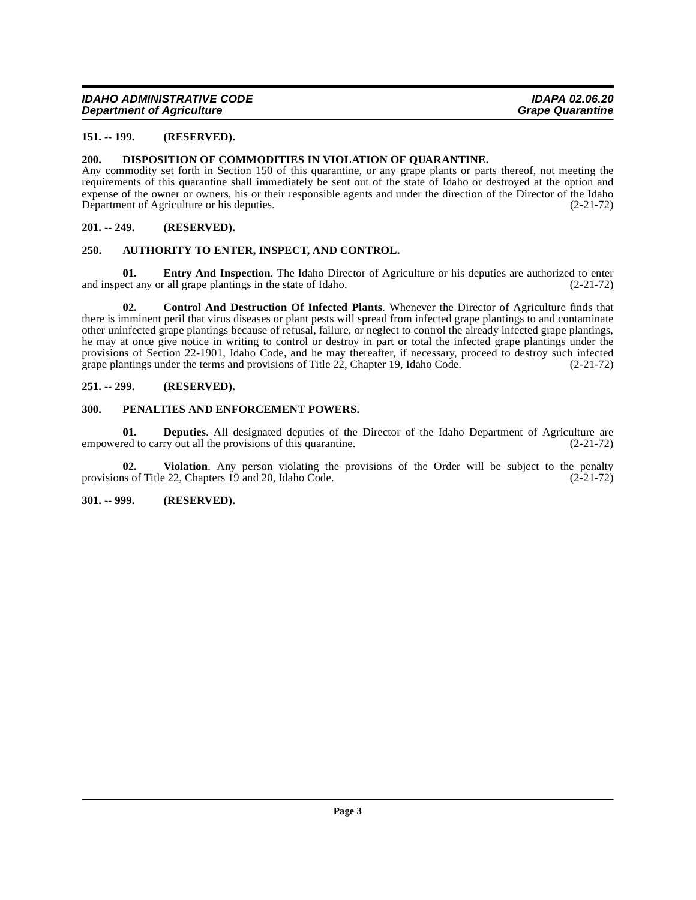#### <span id="page-2-0"></span>**151. -- 199. (RESERVED).**

#### <span id="page-2-10"></span><span id="page-2-1"></span>**200. DISPOSITION OF COMMODITIES IN VIOLATION OF QUARANTINE.**

Any commodity set forth in Section 150 of this quarantine, or any grape plants or parts thereof, not meeting the requirements of this quarantine shall immediately be sent out of the state of Idaho or destroyed at the option and expense of the owner or owners, his or their responsible agents and under the direction of the Director of the Idaho<br>Department of Agriculture or his deputies. (2-21-72) Department of Agriculture or his deputies.

#### <span id="page-2-2"></span>**201. -- 249. (RESERVED).**

#### <span id="page-2-7"></span><span id="page-2-3"></span>**250. AUTHORITY TO ENTER, INSPECT, AND CONTROL.**

<span id="page-2-11"></span>**01. Entry And Inspection**. The Idaho Director of Agriculture or his deputies are authorized to enter and inspect any or all grape plantings in the state of Idaho. (2-21-72)

<span id="page-2-8"></span>**02. Control And Destruction Of Infected Plants**. Whenever the Director of Agriculture finds that there is imminent peril that virus diseases or plant pests will spread from infected grape plantings to and contaminate other uninfected grape plantings because of refusal, failure, or neglect to control the already infected grape plantings, he may at once give notice in writing to control or destroy in part or total the infected grape plantings under the provisions of Section 22-1901, Idaho Code, and he may thereafter, if necessary, proceed to destroy such infected grape plantings under the terms and provisions of Title 22, Chapter 19, Idaho Code. (2-21-72)

#### <span id="page-2-4"></span>**251. -- 299. (RESERVED).**

#### <span id="page-2-12"></span><span id="page-2-5"></span>**300. PENALTIES AND ENFORCEMENT POWERS.**

<span id="page-2-9"></span>**01. Deputies**. All designated deputies of the Director of the Idaho Department of Agriculture are red to carry out all the provisions of this quarantine. (2-21-72) empowered to carry out all the provisions of this quarantine.

<span id="page-2-13"></span>**02. Violation**. Any person violating the provisions of the Order will be subject to the penalty provisions of Title 22, Chapters 19 and 20, Idaho Code.  $(2-21-72)$ 

<span id="page-2-6"></span>**301. -- 999. (RESERVED).**